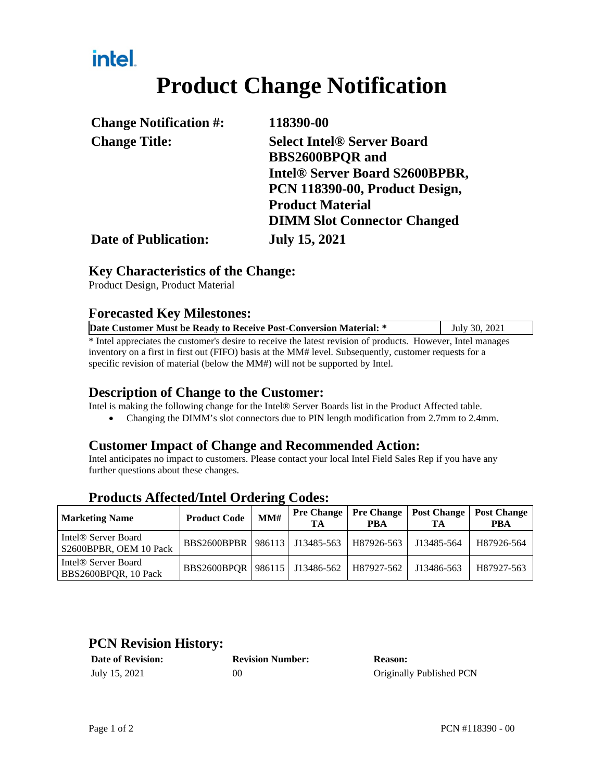## intel.

# **Product Change Notification**

| <b>Change Notification #:</b> | 118390-00                                                              |  |  |
|-------------------------------|------------------------------------------------------------------------|--|--|
| <b>Change Title:</b>          | <b>Select Intel<sup>®</sup> Server Board</b><br><b>BBS2600BPQR</b> and |  |  |
|                               | Intel® Server Board S2600BPBR,                                         |  |  |
|                               | PCN 118390-00, Product Design,                                         |  |  |
|                               | <b>Product Material</b>                                                |  |  |
|                               | <b>DIMM Slot Connector Changed</b>                                     |  |  |
| <b>Date of Publication:</b>   | <b>July 15, 2021</b>                                                   |  |  |

#### **Key Characteristics of the Change:**

Product Design, Product Material

#### **Forecasted Key Milestones:**

| Date Customer Must be Ready to Receive Post-Conversion Material: *                                           | July 30, 2021 |  |  |  |
|--------------------------------------------------------------------------------------------------------------|---------------|--|--|--|
| * Intel appreciates the customer's desire to receive the latest revision of products. However, Intel manages |               |  |  |  |
| inventory on a first in first out (FIFO) basis at the MM# level. Subsequently, customer requests for a       |               |  |  |  |

specific revision of material (below the MM#) will not be supported by Intel.

#### **Description of Change to the Customer:**

Intel is making the following change for the Intel® Server Boards list in the Product Affected table.

Changing the DIMM's slot connectors due to PIN length modification from 2.7mm to 2.4mm.

#### **Customer Impact of Change and Recommended Action:**

Intel anticipates no impact to customers. Please contact your local Intel Field Sales Rep if you have any further questions about these changes.

| <b>Marketing Name</b>                                     | <b>Product Code</b>               | MM# | <b>Pre Change</b><br>TА | PBA        | <b>Pre Change   Post Change</b><br>TA | <b>Post Change</b><br><b>PBA</b> |
|-----------------------------------------------------------|-----------------------------------|-----|-------------------------|------------|---------------------------------------|----------------------------------|
| Intel <sup>®</sup> Server Board<br>S2600BPBR, OEM 10 Pack | BBS2600BPBR   986113   J13485-563 |     |                         | H87926-563 | J13485-564                            | H87926-564                       |
| Intel <sup>®</sup> Server Board<br>BBS2600BPQR, 10 Pack   | BBS2600BPOR   986115   J13486-562 |     |                         | H87927-562 | J13486-563                            | H87927-563                       |

#### **Products Affected/Intel Ordering Codes:**

#### **PCN Revision History:**

| <b>Date of Revision:</b> | <b>Revision Number:</b> | <b>Reason:</b>           |
|--------------------------|-------------------------|--------------------------|
| July 15, 2021            | ОC                      | Originally Published PCN |